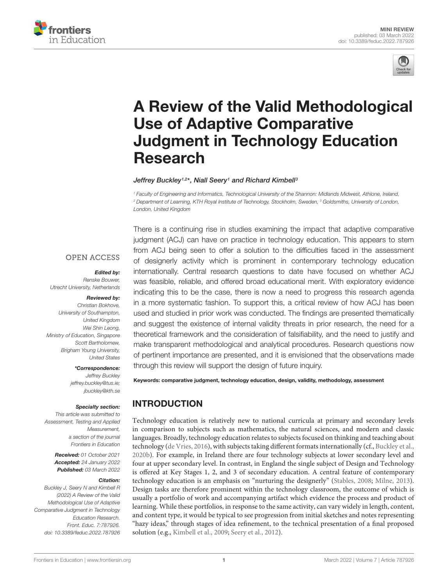



# [A Review of the Valid Methodological](https://www.frontiersin.org/articles/10.3389/feduc.2022.787926/full) Use of Adaptive Comparative Judgment in Technology Education Research

#### Jeffrey Buckley1,2\*, Niall Seery1 and Richard Kimbell<sup>3</sup>

<sup>1</sup> Faculty of Engineering and Informatics, Technological University of the Shannon: Midlands Midwest, Athlone, Ireland, <sup>2</sup> Department of Learning, KTH Royal Institute of Technology, Stockholm, Sweden, <sup>3</sup> Goldsmiths, University of London, London, United Kingdom

#### **OPEN ACCESS**

#### Edited by:

Renske Bouwer, Utrecht University, Netherlands

#### Reviewed by:

Christian Bokhove, University of Southampton, United Kingdom Wei Shin Leong, Ministry of Education, Singapore Scott Bartholomew, Brigham Young University, United States

#### \*Correspondence:

Jeffrey Buckley jeffrey.buckley@tus.ie; jbuckley@kth.se

#### Specialty section:

This article was submitted to Assessment, Testing and Applied Measurement, a section of the journal Frontiers in Education

> Received: 01 October 2021 Accepted: 24 January 2022 Published: 03 March 2022

#### Citation:

Buckley J, Seery N and Kimbell R (2022) A Review of the Valid Methodological Use of Adaptive Comparative Judgment in Technology Education Research. Front. Educ. 7:787926. doi: [10.3389/feduc.2022.787926](https://doi.org/10.3389/feduc.2022.787926)

There is a continuing rise in studies examining the impact that adaptive comparative judgment (ACJ) can have on practice in technology education. This appears to stem from ACJ being seen to offer a solution to the difficulties faced in the assessment of designerly activity which is prominent in contemporary technology education internationally. Central research questions to date have focused on whether ACJ was feasible, reliable, and offered broad educational merit. With exploratory evidence indicating this to be the case, there is now a need to progress this research agenda in a more systematic fashion. To support this, a critical review of how ACJ has been used and studied in prior work was conducted. The findings are presented thematically and suggest the existence of internal validity threats in prior research, the need for a theoretical framework and the consideration of falsifiability, and the need to justify and make transparent methodological and analytical procedures. Research questions now of pertinent importance are presented, and it is envisioned that the observations made through this review will support the design of future inquiry.

Keywords: comparative judgment, technology education, design, validity, methodology, assessment

### INTRODUCTION

Technology education is relatively new to national curricula at primary and secondary levels in comparison to subjects such as mathematics, the natural sciences, and modern and classic languages. Broadly, technology education relates to subjects focused on thinking and teaching about technology [\(de Vries,](#page-4-0) [2016\)](#page-4-0), with subjects taking different formats internationally (cf., [Buckley et al.,](#page-4-1) [2020b\)](#page-4-1). For example, in Ireland there are four technology subjects at lower secondary level and four at upper secondary level. In contrast, in England the single subject of Design and Technology is offered at Key Stages 1, 2, and 3 of secondary education. A central feature of contemporary technology education is an emphasis on "nurturing the designerly" [\(Stables,](#page-5-0) [2008;](#page-5-0) [Milne,](#page-5-1) [2013\)](#page-5-1). Design tasks are therefore prominent within the technology classroom, the outcome of which is usually a portfolio of work and accompanying artifact which evidence the process and product of learning. While these portfolios, in response to the same activity, can vary widely in length, content, and content type, it would be typical to see progression from initial sketches and notes representing "hazy ideas," through stages of idea refinement, to the technical presentation of a final proposed solution (e.g., [Kimbell et al.,](#page-5-2) [2009;](#page-5-2) [Seery et al.,](#page-5-3) [2012\)](#page-5-3).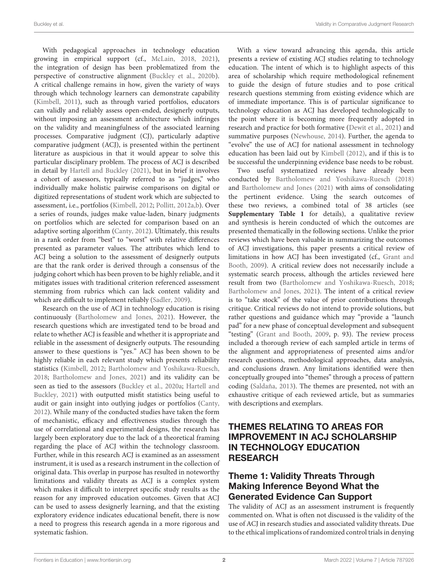With pedagogical approaches in technology education growing in empirical support (cf., [McLain,](#page-5-4) [2018,](#page-5-4) [2021\)](#page-5-5), the integration of design has been problematized from the perspective of constructive alignment [\(Buckley et al.,](#page-4-1) [2020b\)](#page-4-1). A critical challenge remains in how, given the variety of ways through which technology learners can demonstrate capability [\(Kimbell,](#page-5-6) [2011\)](#page-5-6), such as through varied portfolios, educators can validly and reliably assess open-ended, designerly outputs, without imposing an assessment architecture which infringes on the validity and meaningfulness of the associated learning processes. Comparative judgment (CJ), particularly adaptive comparative judgment (ACJ), is presented within the pertinent literature as auspicious in that it would appear to solve this particular disciplinary problem. The process of ACJ is described in detail by [Hartell and Buckley](#page-5-7) [\(2021\)](#page-5-7), but in brief it involves a cohort of assessors, typically referred to as "judges," who individually make holistic pairwise comparisons on digital or digitized representations of student work which are subjected to assessment, i.e., portfolios [\(Kimbell,](#page-5-8) [2012;](#page-5-8) [Pollitt,](#page-5-9) [2012a,](#page-5-9)[b\)](#page-5-10). Over a series of rounds, judges make value-laden, binary judgments on portfolios which are selected for comparison based on an adaptive sorting algorithm [\(Canty,](#page-4-2) [2012\)](#page-4-2). Ultimately, this results in a rank order from "best" to "worst" with relative differences presented as parameter values. The attributes which lend to ACJ being a solution to the assessment of designerly outputs are that the rank order is derived through a consensus of the judging cohort which has been proven to be highly reliable, and it mitigates issues with traditional criterion referenced assessment stemming from rubrics which can lack content validity and which are difficult to implement reliably [\(Sadler,](#page-5-11) [2009\)](#page-5-11).

Research on the use of ACJ in technology education is rising continuously [\(Bartholomew and Jones,](#page-4-3) [2021\)](#page-4-3). However, the research questions which are investigated tend to be broad and relate to whether ACJ is feasible and whether it is appropriate and reliable in the assessment of designerly outputs. The resounding answer to these questions is "yes." ACJ has been shown to be highly reliable in each relevant study which presents reliability statistics [\(Kimbell,](#page-5-8) [2012;](#page-5-8) [Bartholomew and Yoshikawa-Ruesch,](#page-4-4) [2018;](#page-4-4) [Bartholomew and Jones,](#page-4-3) [2021\)](#page-4-3) and its validity can be seen as tied to the assessors [\(Buckley et al.,](#page-4-5) [2020a;](#page-4-5) [Hartell and](#page-5-7) [Buckley,](#page-5-7) [2021\)](#page-5-7) with outputted misfit statistics being useful to audit or gain insight into outlying judges or portfolios [\(Canty,](#page-4-2) [2012\)](#page-4-2). While many of the conducted studies have taken the form of mechanistic, efficacy and effectiveness studies through the use of correlational and experimental designs, the research has largely been exploratory due to the lack of a theoretical framing regarding the place of ACJ within the technology classroom. Further, while in this research ACJ is examined as an assessment instrument, it is used as a research instrument in the collection of original data. This overlap in purpose has resulted in noteworthy limitations and validity threats as ACJ is a complex system which makes it difficult to interpret specific study results as the reason for any improved education outcomes. Given that ACJ can be used to assess designerly learning, and that the existing exploratory evidence indicates educational benefit, there is now a need to progress this research agenda in a more rigorous and systematic fashion.

With a view toward advancing this agenda, this article presents a review of existing ACJ studies relating to technology education. The intent of which is to highlight aspects of this area of scholarship which require methodological refinement to guide the design of future studies and to pose critical research questions stemming from existing evidence which are of immediate importance. This is of particular significance to technology education as ACJ has developed technologically to the point where it is becoming more frequently adopted in research and practice for both formative [\(Dewit et al.,](#page-4-6) [2021\)](#page-4-6) and summative purposes [\(Newhouse,](#page-5-12) [2014\)](#page-5-12). Further, the agenda to "evolve" the use of ACJ for national assessment in technology education has been laid out by [Kimbell](#page-5-8) [\(2012\)](#page-5-8), and if this is to be successful the underpinning evidence base needs to be robust.

Two useful systematized reviews have already been conducted by [Bartholomew and Yoshikawa-Ruesch](#page-4-4) [\(2018\)](#page-4-4) and [Bartholomew and Jones](#page-4-3) [\(2021\)](#page-4-3) with aims of consolidating the pertinent evidence. Using the search outcomes of these two reviews, a combined total of 38 articles (see **[Supplementary Table 1](#page-4-7)** for details), a qualitative review and synthesis is herein conducted of which the outcomes are presented thematically in the following sections. Unlike the prior reviews which have been valuable in summarizing the outcomes of ACJ investigations, this paper presents a critical review of limitations in how ACJ has been investigated (cf., [Grant and](#page-5-13) [Booth,](#page-5-13) [2009\)](#page-5-13). A critical review does not necessarily include a systematic search process, although the articles reviewed here result from two [\(Bartholomew and Yoshikawa-Ruesch,](#page-4-4) [2018;](#page-4-4) [Bartholomew and Jones,](#page-4-3) [2021\)](#page-4-3). The intent of a critical review is to "take stock" of the value of prior contributions through critique. Critical reviews do not intend to provide solutions, but rather questions and guidance which may "provide a "launch pad" for a new phase of conceptual development and subsequent "testing" [\(Grant and Booth,](#page-5-13) [2009,](#page-5-13) p. 93). The review process included a thorough review of each sampled article in terms of the alignment and appropriateness of presented aims and/or research questions, methodological approaches, data analysis, and conclusions drawn. Any limitations identified were then conceptually grouped into "themes" through a process of pattern coding [\(Saldaña,](#page-5-14) [2013\)](#page-5-14). The themes are presented, not with an exhaustive critique of each reviewed article, but as summaries with descriptions and exemplars.

## THEMES RELATING TO AREAS FOR IMPROVEMENT IN ACJ SCHOLARSHIP IN TECHNOLOGY EDUCATION RESEARCH

# Theme 1: Validity Threats Through Making Inference Beyond What the Generated Evidence Can Support

The validity of ACJ as an assessment instrument is frequently commented on. What is often not discussed is the validity of the use of ACJ in research studies and associated validity threats. Due to the ethical implications of randomized control trials in denying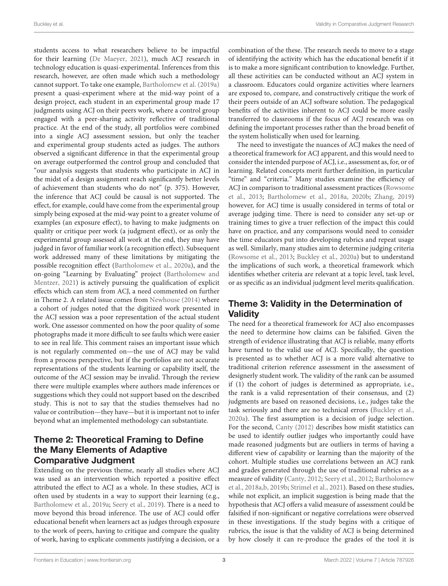students access to what researchers believe to be impactful for their learning [\(De Maeyer,](#page-4-8) [2021\)](#page-4-8), much ACJ research in technology education is quasi-experimental. Inferences from this research, however, are often made which such a methodology cannot support. To take one example, [Bartholomew et al.](#page-4-9) [\(2019a\)](#page-4-9) present a quasi-experiment where at the mid-way point of a design project, each student in an experimental group made 17 judgments using ACJ on their peers work, where a control group engaged with a peer-sharing activity reflective of traditional practice. At the end of the study, all portfolios were combined into a single ACJ assessment session, but only the teacher and experimental group students acted as judges. The authors observed a significant difference in that the experimental group on average outperformed the control group and concluded that "our analysis suggests that students who participate in ACJ in the midst of a design assignment reach significantly better levels of achievement than students who do not" (p. 375). However, the inference that ACJ could be causal is not supported. The effect, for example, could have come from the experimental group simply being exposed at the mid-way point to a greater volume of examples (an exposure effect), to having to make judgments on quality or critique peer work (a judgment effect), or as only the experimental group assessed all work at the end, they may have judged in favor of familiar work (a recognition effect). Subsequent work addressed many of these limitations by mitigating the possible recognition effect [\(Bartholomew et al.,](#page-4-10) [2020a\)](#page-4-10), and the on-going "Learning by Evaluating" project [\(Bartholomew and](#page-4-11) [Mentzer,](#page-4-11) [2021\)](#page-4-11) is actively pursuing the qualification of explicit effects which can stem from ACJ, a need commented on further in Theme 2. A related issue comes from [Newhouse](#page-5-12) [\(2014\)](#page-5-12) where a cohort of judges noted that the digitized work presented in the ACJ session was a poor representation of the actual student work. One assessor commented on how the poor quality of some photographs made it more difficult to see faults which were easier to see in real life. This comment raises an important issue which is not regularly commented on—the use of ACJ may be valid from a process perspective, but if the portfolios are not accurate representations of the students learning or capability itself, the outcome of the ACJ session may be invalid. Through the review there were multiple examples where authors made inferences or suggestions which they could not support based on the described study. This is not to say that the studies themselves had no value or contribution—they have—but it is important not to infer beyond what an implemented methodology can substantiate.

## Theme 2: Theoretical Framing to Define the Many Elements of Adaptive Comparative Judgment

Extending on the previous theme, nearly all studies where ACJ was used as an intervention which reported a positive effect attributed the effect to ACJ as a whole. In these studies, ACJ is often used by students in a way to support their learning (e.g., [Bartholomew et al.,](#page-4-9) [2019a;](#page-4-9) [Seery et al.,](#page-5-15) [2019\)](#page-5-15). There is a need to move beyond this broad inference. The use of ACJ could offer educational benefit when learners act as judges through exposure to the work of peers, having to critique and compare the quality of work, having to explicate comments justifying a decision, or a

combination of the these. The research needs to move to a stage of identifying the activity which has the educational benefit if it is to make a more significant contribution to knowledge. Further, all these activities can be conducted without an ACJ system in a classroom. Educators could organize activities where learners are exposed to, compare, and constructively critique the work of their peers outside of an ACJ software solution. The pedagogical benefits of the activities inherent to ACJ could be more easily transferred to classrooms if the focus of ACJ research was on defining the important processes rather than the broad benefit of the system holistically when used for learning.

The need to investigate the nuances of ACJ makes the need of a theoretical framework for ACJ apparent, and this would need to consider the intended purpose of ACJ, i.e., assessment as, for, or of learning. Related concepts merit further definition, in particular "time" and "criteria." Many studies examine the efficiency of ACJ in comparison to traditional assessment practices [\(Rowsome](#page-5-16) [et al.,](#page-5-16) [2013;](#page-5-16) [Bartholomew et al.,](#page-4-12) [2018a,](#page-4-12) [2020b;](#page-4-13) [Zhang,](#page-5-17) [2019\)](#page-5-17) however, for ACJ time is usually considered in terms of total or average judging time. There is need to consider any set-up or training times to give a truer reflection of the impact this could have on practice, and any comparisons would need to consider the time educators put into developing rubrics and repeat usage as well. Similarly, many studies aim to determine judging criteria [\(Rowsome et al.,](#page-5-16) [2013;](#page-5-16) [Buckley et al.,](#page-4-5) [2020a\)](#page-4-5) but to understand the implications of such work, a theoretical framework which identifies whether criteria are relevant at a topic level, task level, or as specific as an individual judgment level merits qualification.

# Theme 3: Validity in the Determination of **Validity**

The need for a theoretical framework for ACJ also encompasses the need to determine how claims can be falsified. Given the strength of evidence illustrating that ACJ is reliable, many efforts have turned to the valid use of ACJ. Specifically, the question is presented as to whether ACJ is a more valid alternative to traditional criterion reference assessment in the assessment of designerly student work. The validity of the rank can be assumed if (1) the cohort of judges is determined as appropriate, i.e., the rank is a valid representation of their consensus, and (2) judgments are based on reasoned decisions, i.e., judges take the task seriously and there are no technical errors [\(Buckley et al.,](#page-4-5) [2020a\)](#page-4-5). The first assumption is a decision of judge selection. For the second, [Canty](#page-4-2) [\(2012\)](#page-4-2) describes how misfit statistics can be used to identify outlier judges who importantly could have made reasoned judgments but are outliers in terms of having a different view of capability or learning than the majority of the cohort. Multiple studies use correlations between an ACJ rank and grades generated through the use of traditional rubrics as a measure of validity [\(Canty,](#page-4-2) [2012;](#page-4-2) [Seery et al.,](#page-5-3) [2012;](#page-5-3) [Bartholomew](#page-4-12) [et al.,](#page-4-12) [2018a](#page-4-12)[,b,](#page-4-14) [2019b;](#page-4-15) [Strimel et al.,](#page-5-18) [2021\)](#page-5-18). Based on these studies, while not explicit, an implicit suggestion is being made that the hypothesis that ACJ offers a valid measure of assessment could be falsified if non-significant or negative correlations were observed in these investigations. If the study begins with a critique of rubrics, the issue is that the validity of ACJ is being determined by how closely it can re-produce the grades of the tool it is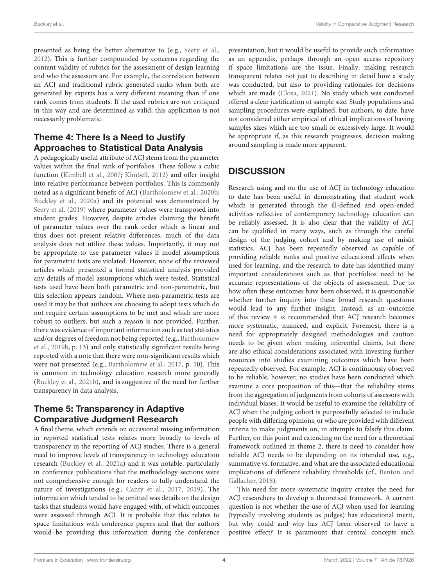presented as being the better alternative to (e.g., [Seery et al.,](#page-5-3) [2012\)](#page-5-3). This is further compounded by concerns regarding the content validity of rubrics for the assessment of design learning and who the assessors are. For example, the correlation between an ACJ and traditional rubric generated ranks when both are generated by experts has a very different meaning than if one rank comes from students. If the used rubrics are not critiqued in this way and are determined as valid, this application is not necessarily problematic.

### Theme 4: There Is a Need to Justify Approaches to Statistical Data Analysis

A pedagogically useful attribute of ACJ stems from the parameter values within the final rank of portfolios. These follow a cubic function [\(Kimbell et al.,](#page-5-19) [2007;](#page-5-19) [Kimbell,](#page-5-8) [2012\)](#page-5-8) and offer insight into relative performance between portfolios. This is commonly noted as a significant benefit of ACJ [\(Bartholomew et al.,](#page-4-13) [2020b;](#page-4-13) [Buckley et al.,](#page-4-5) [2020a\)](#page-4-5) and its potential was demonstrated by [Seery et al.](#page-5-15) [\(2019\)](#page-5-15) where parameter values were transposed into student grades. However, despite articles claiming the benefit of parameter values over the rank order which is linear and thus does not present relative differences, much of the data analysis does not utilize these values. Importantly, it may not be appropriate to use parameter values if model assumptions for parametric tests are violated. However, none of the reviewed articles which presented a formal statistical analysis provided any details of model assumptions which were tested. Statistical tests used have been both parametric and non-parametric, but this selection appears random. Where non-parametric tests are used it may be that authors are choosing to adopt tests which do not require certain assumptions to be met and which are more robust to outliers, but such a reason is not provided. Further, there was evidence of important information such as test statistics and/or degrees of freedom not being reported (e.g., [Bartholomew](#page-4-15) [et al.,](#page-4-15) [2019b,](#page-4-15) p. 13) and only statistically significant results being reported with a note that there were non-significant results which were not presented (e.g., [Bartholomew et al.,](#page-4-16) [2017,](#page-4-16) p. 10). This is common in technology education research more generally [\(Buckley et al.,](#page-4-17) [2021b\)](#page-4-17), and is suggestive of the need for further transparency in data analysis.

## Theme 5: Transparency in Adaptive Comparative Judgment Research

A final theme, which extends on occasional missing information in reported statistical tests relates more broadly to levels of transparency in the reporting of ACJ studies. There is a general need to improve levels of transparency in technology education research [\(Buckley et al.,](#page-4-18) [2021a\)](#page-4-18) and it was notable, particularly in conference publications that the methodology sections were not comprehensive enough for readers to fully understand the nature of investigations (e.g., [Canty et al.,](#page-4-19) [2017,](#page-4-19) [2019\)](#page-4-20). The information which tended to be omitted was details on the design tasks that students would have engaged with, of which outcomes were assessed through ACJ. It is probable that this relates to space limitations with conference papers and that the authors would be providing this information during the conference presentation, but it would be useful to provide such information as an appendix, perhaps through an open access repository if space limitations are the issue. Finally, making research transparent relates not just to describing in detail how a study was conducted, but also to providing rationales for decisions which are made [\(Closa,](#page-4-21) [2021\)](#page-4-21). No study which was conducted offered a clear justification of sample size. Study populations and sampling procedures were explained, but authors, to date, have not considered either empirical of ethical implications of having samples sizes which are too small or excessively large. It would be appropriate if, as this research progresses, decision making around sampling is made more apparent.

# **DISCUSSION**

Research using and on the use of ACJ in technology education to date has been useful in demonstrating that student work which is generated through the ill-defined and open-ended activities reflective of contemporary technology education can be reliably assessed. It is also clear that the validity of ACJ can be qualified in many ways, such as through the careful design of the judging cohort and by making use of misfit statistics. ACJ has been repeatedly observed as capable of providing reliable ranks and positive educational effects when used for learning, and the research to date has identified many important considerations such as that portfolios need to be accurate representations of the objects of assessment. Due to how often these outcomes have been observed, it is questionable whether further inquiry into these broad research questions would lead to any further insight. Instead, as an outcome of this review it is recommended that ACJ research becomes more systematic, nuanced, and explicit. Foremost, there is a need for appropriately designed methodologies and caution needs to be given when making inferential claims, but there are also ethical considerations associated with investing further resources into studies examining outcomes which have been repeatedly observed. For example, ACJ is continuously observed to be reliable, however, no studies have been conducted which examine a core proposition of this—that the reliability stems from the aggregation of judgments from cohorts of assessors with individual biases. It would be useful to examine the reliability of ACJ when the judging cohort is purposefully selected to include people with differing opinions, or who are provided with different criteria to make judgments on, in attempts to falsify this claim. Further, on this point and extending on the need for a theoretical framework outlined in theme 2, there is need to consider how reliable ACJ needs to be depending on its intended use, e.g., summative vs. formative, and what are the associated educational implications of different reliability thresholds (cf., [Benton and](#page-4-22) [Gallacher,](#page-4-22) [2018\)](#page-4-22).

This need for more systematic inquiry creates the need for ACJ researchers to develop a theoretical framework. A current question is not whether the use of ACJ when used for learning (typically involving students as judges) has educational merit, but why could and why has ACJ been observed to have a positive effect? It is paramount that central concepts such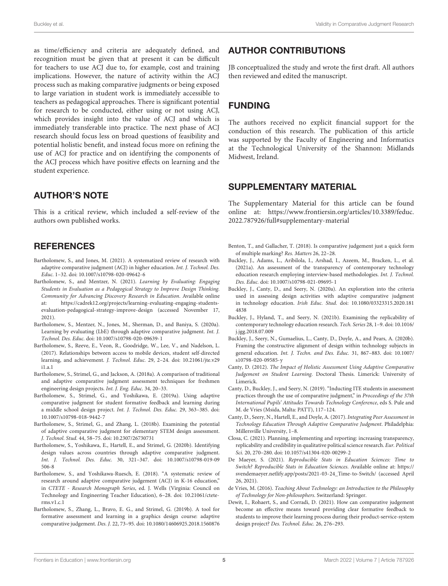as time/efficiency and criteria are adequately defined, and recognition must be given that at present it can be difficult for teachers to use ACJ due to, for example, cost and training implications. However, the nature of activity within the ACJ process such as making comparative judgments or being exposed to large variation in student work is immediately accessible to teachers as pedagogical approaches. There is significant potential for research to be conducted, either using or not using ACJ, which provides insight into the value of ACJ and which is immediately transferable into practice. The next phase of ACJ research should focus less on broad questions of feasibility and potential holistic benefit, and instead focus more on refining the use of ACJ for practice and on identifying the components of the ACJ process which have positive effects on learning and the student experience.

### AUTHOR'S NOTE

This is a critical review, which included a self-review of the authors own published works.

#### **REFERENCES**

- <span id="page-4-3"></span>Bartholomew, S., and Jones, M. (2021). A systematized review of research with adaptive comparative judgment (ACJ) in higher education. Int. J. Technol. Des. Educ. 1–32. [doi: 10.1007/s10798-020-09642-6](https://doi.org/10.1007/s10798-020-09642-6)
- <span id="page-4-11"></span>Bartholomew, S., and Mentzer, N. (2021). Learning by Evaluating: Engaging Students in Evaluation as a Pedagogical Strategy to Improve Design Thinking. Community for Advancing Discovery Research in Education. Available online at: [https://cadrek12.org/projects/learning-evaluating-engaging-students](https://cadrek12.org/projects/learning-evaluating-engaging-students-evaluation-pedagogical-strategy-improve-design)[evaluation-pedagogical-strategy-improve-design](https://cadrek12.org/projects/learning-evaluating-engaging-students-evaluation-pedagogical-strategy-improve-design) (accessed November 17, 2021).
- <span id="page-4-10"></span>Bartholomew, S., Mentzer, N., Jones, M., Sherman, D., and Baniya, S. (2020a). Learning by evaluating (LbE) through adaptive comparative judgment. Int. J. Technol. Des. Educ. [doi: 10.1007/s10798-020-09639-1](https://doi.org/10.1007/s10798-020-09639-1)
- <span id="page-4-16"></span>Bartholomew, S., Reeve, E., Veon, R., Goodridge, W., Lee, V., and Nadelson, L. (2017). Relationships between access to mobile devices, student self-directed learning, and achievement. J. Technol. Educ. 29, 2–24. [doi: 10.21061/jte.v29](https://doi.org/10.21061/jte.v29i1.a.1) [i1.a.1](https://doi.org/10.21061/jte.v29i1.a.1)
- <span id="page-4-12"></span>Bartholomew, S., Strimel, G., and Jackson, A. (2018a). A comparison of traditional and adaptive comparative judgment assessment techniques for freshmen engineering design projects. Int. J. Eng. Educ. 34, 20–33.
- <span id="page-4-9"></span>Bartholomew, S., Strimel, G., and Yoshikawa, E. (2019a). Using adaptive comparative judgment for student formative feedback and learning during a middle school design project. Int. J. Technol. Des. Educ. 29, 363–385. [doi:](https://doi.org/10.1007/s10798-018-9442-7) [10.1007/s10798-018-9442-7](https://doi.org/10.1007/s10798-018-9442-7)
- <span id="page-4-14"></span>Bartholomew, S., Strimel, G., and Zhang, L. (2018b). Examining the potential of adaptive comparative judgment for elementary STEM design assessment. J. Technol. Stud. 44, 58–75. [doi: 10.2307/26730731](https://doi.org/10.2307/26730731)
- <span id="page-4-13"></span>Bartholomew, S., Yoshikawa, E., Hartell, E., and Strimel, G. (2020b). Identifying design values across countries through adaptive comparative judgment. Int. J. Technol. Des. Educ. 30, 321–347. [doi: 10.1007/s10798-019-09](https://doi.org/10.1007/s10798-019-09506-8) [506-8](https://doi.org/10.1007/s10798-019-09506-8)
- <span id="page-4-4"></span>Bartholomew, S., and Yoshikawa-Ruesch, E. (2018). "A systematic review of research around adaptive comparative judgement (ACJ) in K-16 education," in CTETE - Research Monograph Series, ed. J. Wells (Virginia: Council on Technology and Engineering Teacher Education), 6–28. [doi: 10.21061/ctete](https://doi.org/10.21061/ctete-rms.v1.c.1)[rms.v1.c.1](https://doi.org/10.21061/ctete-rms.v1.c.1)
- <span id="page-4-15"></span>Bartholomew, S., Zhang, L., Bravo, E. G., and Strimel, G. (2019b). A tool for formative assessment and learning in a graphics design course: adaptive comparative judgement. Des. J. 22, 73–95. [doi: 10.1080/14606925.2018.1560876](https://doi.org/10.1080/14606925.2018.1560876)

#### AUTHOR CONTRIBUTIONS

JB conceptualized the study and wrote the first draft. All authors then reviewed and edited the manuscript.

### FUNDING

The authors received no explicit financial support for the conduction of this research. The publication of this article was supported by the Faculty of Engineering and Informatics at the Technological University of the Shannon: Midlands Midwest, Ireland.

#### <span id="page-4-7"></span>SUPPLEMENTARY MATERIAL

The Supplementary Material for this article can be found online at: [https://www.frontiersin.org/articles/10.3389/feduc.](https://www.frontiersin.org/articles/10.3389/feduc.2022.787926/full#supplementary-material) [2022.787926/full#supplementary-material](https://www.frontiersin.org/articles/10.3389/feduc.2022.787926/full#supplementary-material)

- <span id="page-4-22"></span>Benton, T., and Gallacher, T. (2018). Is comparative judgement just a quick form of multiple marking? Res. Matters 26, 22–28.
- <span id="page-4-18"></span>Buckley, J., Adams, L., Aribilola, I., Arshad, I., Azeem, M., Bracken, L., et al. (2021a). An assessment of the transparency of contemporary technology education research employing interview-based methodologies. Int. J. Technol. Des. Educ. [doi: 10.1007/s10798-021-09695-1](https://doi.org/10.1007/s10798-021-09695-1)
- <span id="page-4-5"></span>Buckley, J., Canty, D., and Seery, N. (2020a). An exploration into the criteria used in assessing design activities with adaptive comparative judgment in technology education. Irish Educ. Stud. [doi: 10.1080/03323315.2020.181](https://doi.org/10.1080/03323315.2020.1814838) [4838](https://doi.org/10.1080/03323315.2020.1814838)
- <span id="page-4-17"></span>Buckley, J., Hyland, T., and Seery, N. (2021b). Examining the replicability of contemporary technology education research. Tech. Series 28, 1–9. [doi: 10.1016/](https://doi.org/10.1016/j.jgg.2018.07.009) [j.jgg.2018.07.009](https://doi.org/10.1016/j.jgg.2018.07.009)
- <span id="page-4-1"></span>Buckley, J., Seery, N., Gumaelius, L., Canty, D., Doyle, A., and Pears, A. (2020b). Framing the constructive alignment of design within technology subjects in general education. Int. J. Techn. and Des. Educ. 31, 867–883. [doi: 10.1007/](https://doi.org/10.1007/s10798-020-09585-y) [s10798-020-09585-y](https://doi.org/10.1007/s10798-020-09585-y)
- <span id="page-4-2"></span>Canty, D. (2012). The Impact of Holistic Assessment Using Adaptive Comparative Judgement on Student Learning. Doctoral Thesis. Limerick: University of Limerick.
- <span id="page-4-20"></span>Canty, D., Buckley, J., and Seery, N. (2019). "Inducting ITE students in assessment practices through the use of comparative judgment," in Proceedings of the 37th International Pupils' Attitudes Towards Technology Conference, eds S. Pule and M. de Vries (Msida, Malta: PATT), 117–124.
- <span id="page-4-19"></span>Canty, D., Seery, N., Hartell, E., and Doyle, A. (2017). Integrating Peer Assessment in Technology Education Through Adaptive Comparative Judgment. Philadelphia: Millersville University, 1–8.
- <span id="page-4-21"></span>Closa, C. (2021). Planning, implementing and reporting: increasing transparency, replicability and credibility in qualitative political science research. Eur. Political Sci. 20, 270–280. [doi: 10.1057/s41304-020-00299-2](https://doi.org/10.1057/s41304-020-00299-2)
- <span id="page-4-8"></span>De Maeyer, S. (2021). Reproducible Stats in Education Sciences: Time to Switch? Reproducible Stats in Education Sciences. Available online at: [https://](https://svendemaeyer.netlify.app/posts/2021-03-24_Time-to-Switch/) [svendemaeyer.netlify.app/posts/2021-03-24\\_Time-to-Switch/](https://svendemaeyer.netlify.app/posts/2021-03-24_Time-to-Switch/) (accessed April 26, 2021).
- <span id="page-4-0"></span>de Vries, M. (2016). Teaching About Technology: an Introduction to the Philosophy of Technology for Non-philosophers. Switzerland: Springer.
- <span id="page-4-6"></span>Dewit, I., Rohaert, S., and Corradi, D. (2021). How can comparative judgement become an effective means toward providing clear formative feedback to students to improve their learning process during their product-service-system design project? Des. Technol. Educ. 26, 276–293.